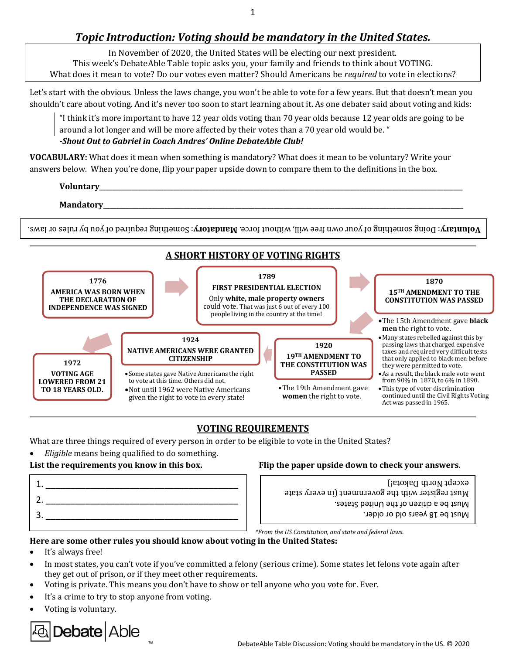1

# *Topic Introduction: Voting should be mandatory in the United States.*

In November of 2020, the United States will be electing our next president. This week's DebateAble Table topic asks you, your family and friends to think about VOTING. What does it mean to vote? Do our votes even matter? Should Americans be *required* to vote in elections?

Let's start with the obvious. Unless the laws change, you won't be able to vote for a few years. But that doesn't mean you shouldn't care about voting. And it's never too soon to start learning about it. As one debater said about voting and kids:

"I think it's more important to have 12 year olds voting than 70 year olds because 12 year olds are going to be around a lot longer and will be more affected by their votes than a 70 year old would be. "

#### *-Shout Out to Gabriel in Coach Andres' Online DebateAble Club!*

**VOCABULARY:** What does it mean when something is mandatory? What does it mean to be voluntary? Write your answers below. When you're done, flip your paper upside down to compare them to the definitions in the box.

# **Voluntary\_\_\_\_\_\_\_\_\_\_\_\_\_\_\_\_\_\_\_\_\_\_\_\_\_\_\_\_\_\_\_\_\_\_\_\_\_\_\_\_\_\_\_\_\_\_\_\_\_\_\_\_\_\_\_\_\_\_\_\_\_\_\_\_\_\_\_\_\_\_\_\_\_\_\_\_\_\_\_\_\_\_\_\_\_\_\_\_\_\_\_\_\_\_\_\_\_\_\_\_\_\_\_\_\_\_\_\_\_\_\_\_\_ Mandatory\_\_\_\_\_\_\_\_\_\_\_\_\_\_\_\_\_\_\_\_\_\_\_\_\_\_\_\_\_\_\_\_\_\_\_\_\_\_\_\_\_\_\_\_\_\_\_\_\_\_\_\_\_\_\_\_\_\_\_\_\_\_\_\_\_\_\_\_\_\_\_\_\_\_\_\_\_\_\_\_\_\_\_\_\_\_\_\_\_\_\_\_\_\_\_\_\_\_\_\_\_\_\_\_\_\_\_\_\_\_\_\_**

**boluntary**: Doing something of your own free will, without force. **Mandatory**: Something required of you by rules or laws.



# **VOTING REQUIREMENTS**

What are three things required of every person in order to be eligible to vote in the United States?

• *Eligible* means being qualified to do something.

1. <u>\_\_\_\_\_\_\_\_\_\_\_\_\_\_\_\_\_\_\_\_\_\_\_\_</u> 2.  $3.$  Summary personal method of  $\vert \cdot \vert$  and  $\vert$  are  $\vert$  . The set of  $\vert$  are  $\vert$  and  $\vert$  are  $\vert$  are  $\vert$  are  $\vert$  are  $\vert$  are  $\vert$  are  $\vert$  are  $\vert$  are  $\vert$  are  $\vert$  are  $\vert$  are  $\vert$  are  $\vert$  are  $\vert$  are  $\vert$ 

# **List the requirements you know in this box. Flip the paper upside down to check your answers**.

Must be a citizen of the United States. Must register with the government (in every state except North Dakota!)

*\*From the US Constitution, and state and federal laws.*

# **Here are some other rules you should know about voting in the United States:**

- It's always free!
- In most states, you can't vote if you've committed a felony (serious crime). Some states let felons vote again after they get out of prison, or if they meet other requirements.
- Voting is private. This means you don't have to show or tell anyone who you vote for. Ever.
- It's a crime to try to stop anyone from voting.
- Voting is voluntary.

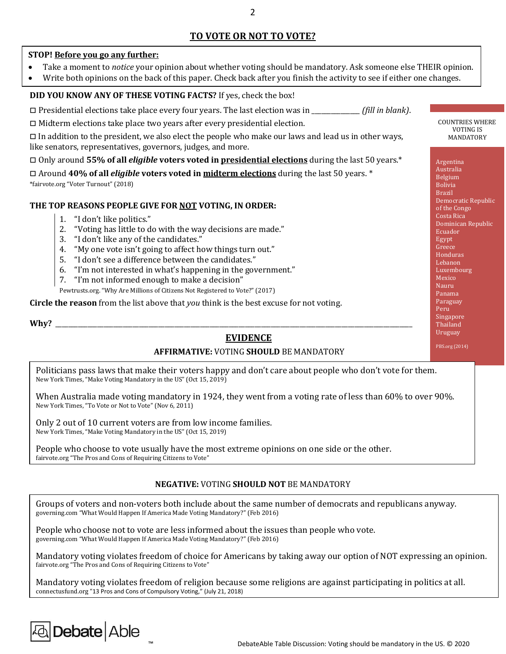# **TO VOTE OR NOT TO VOTE?**

#### **STOP! Before you go any further:**

- Take a moment to *notice* your opinion about whether voting should be mandatory. Ask someone else THEIR opinion.
- Write both opinions on the back of this paper. Check back after you finish the activity to see if either one changes.

#### **DID YOU KNOW ANY OF THESE VOTING FACTS?** If yes, check the box!

□ Presidential elections take place every four years. The last election was in \_\_\_\_\_\_\_\_\_\_\_\_\_\_\_ *(fill in blank)*.

 $\Box$  Midterm elections take place two years after every presidential election.

 $\square$  In addition to the president, we also elect the people who make our laws and lead us in other ways, like senators, representatives, governors, judges, and more.

□ Only around **55% of all** *eligible* **voters voted in presidential elections** during the last 50 years.\*

□ Around **40% of all** *eligible* **voters voted in midterm elections** during the last 50 years. \* \*fairvote.org "Voter Turnout" (2018)

#### **THE TOP REASONS PEOPLE GIVE FOR NOT VOTING, IN ORDER:**

- 1. "I don't like politics."
- 2. "Voting has little to do with the way decisions are made."
- 3. "I don't like any of the candidates."
- 4. "My one vote isn't going to affect how things turn out."
- 5. "I don't see a difference between the candidates."
- 6. "I'm not interested in what's happening in the government."
- 7. "I'm not informed enough to make a decision"

Pewtrusts.org. "Why Are Millions of Citizens Not Registered to Vote?" (2017)

**Circle the reason** from the list above that *you* think is the best excuse for not voting.

**Why?** \_\_\_\_\_\_\_\_\_\_\_\_\_\_\_\_\_\_\_\_\_\_\_\_\_\_\_\_\_\_\_\_\_\_\_\_\_\_\_\_\_\_\_\_\_\_\_\_\_\_\_\_\_\_\_\_\_\_\_\_\_\_\_\_\_\_\_\_\_\_\_\_\_\_\_\_\_\_\_\_\_\_\_\_\_\_\_\_\_\_\_\_\_\_\_\_\_\_\_\_\_\_\_\_\_\_\_\_\_\_\_

### **EVIDENCE**

### **AFFIRMATIVE:** VOTING **SHOULD** BE MANDATORY

Politicians pass laws that make their voters happy and don't care about people who don't vote for them. New York Times, "Make Voting Mandatory in the US" (Oct 15, 2019)

When Australia made voting mandatory in 1924, they went from a voting rate of less than 60% to over 90%. New York Times, "To Vote or Not to Vote" (Nov 6, 2011)

Only 2 out of 10 current voters are from low income families. New York Times, "Make Voting Mandatory in the US" (Oct 15, 2019)

People who choose to vote usually have the most extreme opinions on one side or the other. fairvote.org "The Pros and Cons of Requiring Citizens to Vote"

#### **NEGATIVE:** VOTING **SHOULD NOT** BE MANDATORY

Groups of voters and non-voters both include about the same number of democrats and republicans anyway. governing.com "What Would Happen If America Made Voting Mandatory?" (Feb 2016)

People who choose not to vote are less informed about the issues than people who vote. governing.com "What Would Happen If America Made Voting Mandatory?" (Feb 2016)

Mandatory voting violates freedom of choice for Americans by taking away our option of NOT expressing an opinion. fairvote.org "The Pros and Cons of Requiring Citizens to Vote"

Mandatory voting violates freedom of religion because some religions are against participating in politics at all. connectusfund.org "13 Pros and Cons of Compulsory Voting," (July 21, 2018)

# a Debate Able

COUNTRIES WHERE VOTING IS MANDATORY

Argentina Australia Belgium Bolivia Brazil Democratic Republic of the Congo Costa Rica Dominican Republic Ecuador Egypt Greece Honduras Lebanon Luxembourg Mexico Nauru Panama **Paraguay** Peru Singapore **Thailand** Uruguay

PBS.org (2014)